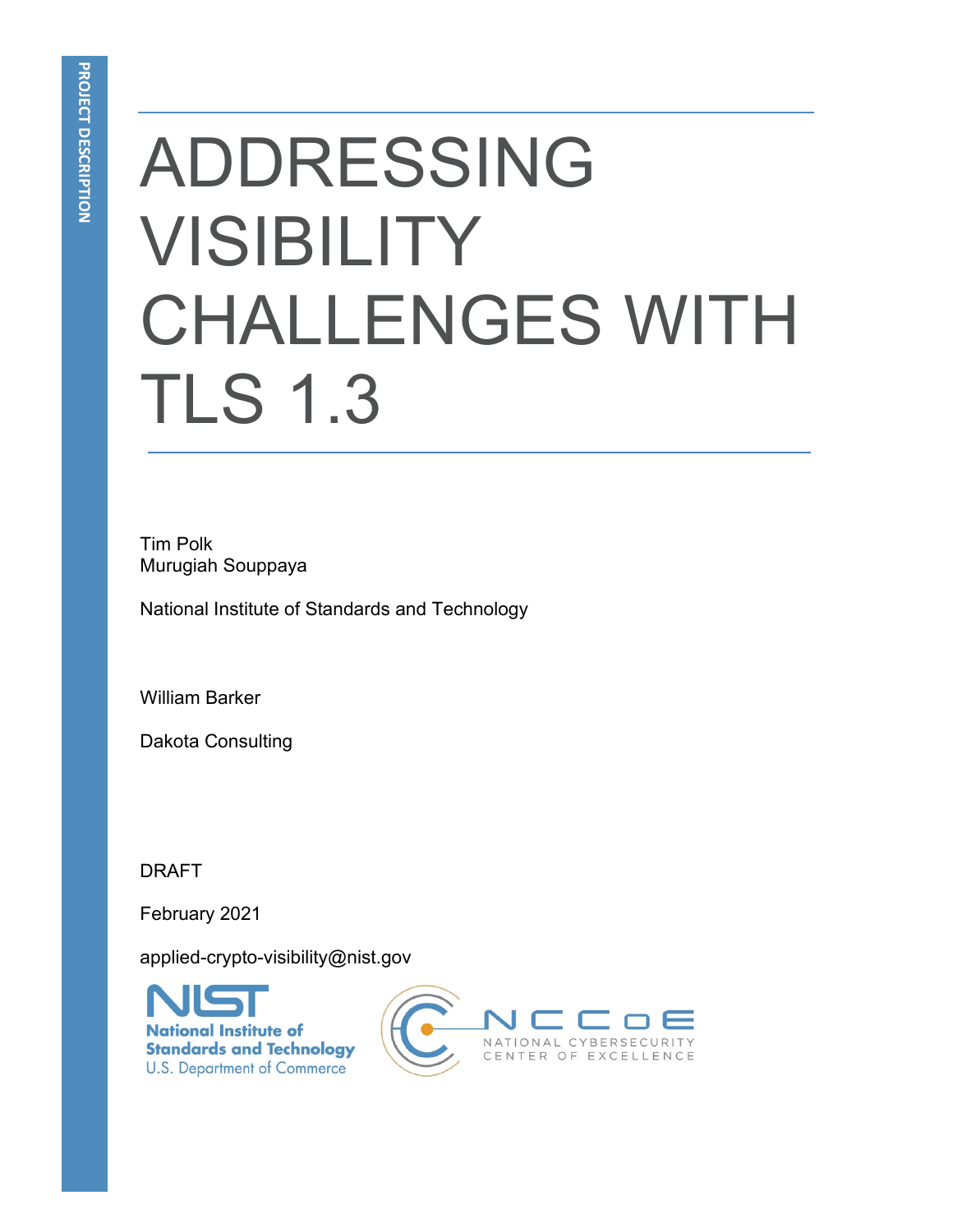# ADDRESSING VISIBILITY CHALLENGES WITH TLS 1.3

Tim Polk Murugiah Souppaya

National Institute of Standards and Technology

William Barker

Dakota Consulting

DRAFT

February 2021

applied-crypto-visibility@nist.gov



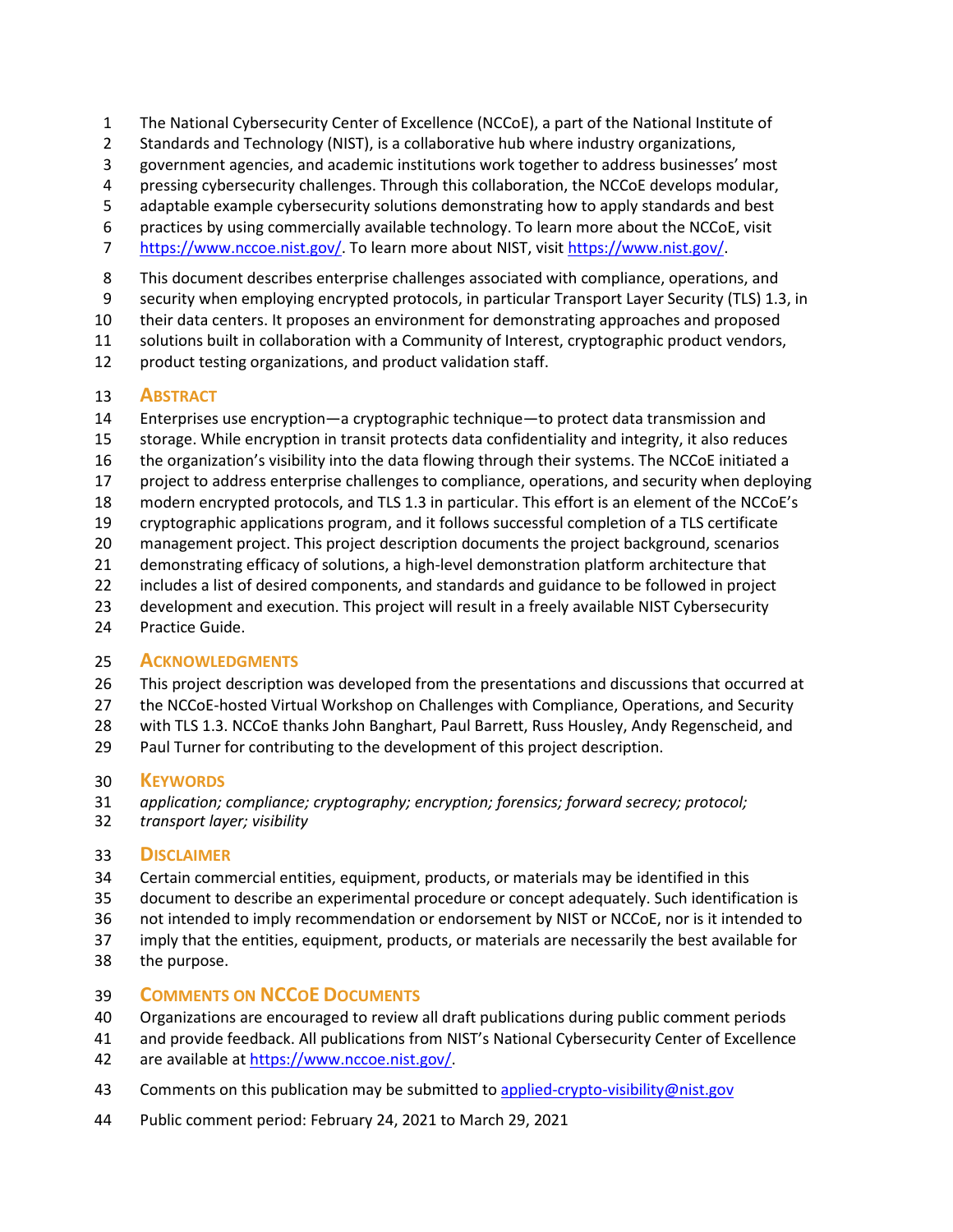- The National Cybersecurity Center of Excellence (NCCoE), a part of the National Institute of
- Standards and Technology (NIST), is a collaborative hub where industry organizations,
- government agencies, and academic institutions work together to address businesses' most
- pressing cybersecurity challenges. Through this collaboration, the NCCoE develops modular,
- adaptable example cybersecurity solutions demonstrating how to apply standards and best
- practices by using commercially available technology. To learn more about the NCCoE, visit
- [https://www.nccoe.nist.gov/.](https://www.nccoe.nist.gov/) To learn more about NIST, visit [https://www.nist.gov/.](https://www.nist.gov/)
- This document describes enterprise challenges associated with compliance, operations, and
- security when employing encrypted protocols, in particular Transport Layer Security (TLS) 1.3, in

their data centers. It proposes an environment for demonstrating approaches and proposed

solutions built in collaboration with a Community of Interest, cryptographic product vendors,

12 product testing organizations, and product validation staff.

## **ABSTRACT**

- Enterprises use encryption—a cryptographic technique—to protect data transmission and
- storage. While encryption in transit protects data confidentiality and integrity, it also reduces
- the organization's visibility into the data flowing through their systems. The NCCoE initiated a
- project to address enterprise challenges to compliance, operations, and security when deploying
- modern encrypted protocols, and TLS 1.3 in particular. This effort is an element of the NCCoE's
- cryptographic applications program, and it follows successful completion of a TLS certificate
- management project. This project description documents the project background, scenarios
- demonstrating efficacy of solutions, a high-level demonstration platform architecture that
- includes a list of desired components, and standards and guidance to be followed in project
- 23 development and execution. This project will result in a freely available NIST Cybersecurity
- Practice Guide.

## **ACKNOWLEDGMENTS**

- This project description was developed from the presentations and discussions that occurred at
- the NCCoE-hosted Virtual Workshop on Challenges with Compliance, Operations, and Security
- with TLS 1.3. NCCoE thanks John Banghart, Paul Barrett, Russ Housley, Andy Regenscheid, and
- Paul Turner for contributing to the development of this project description.

## **KEYWORDS**

- *application; compliance; cryptography; encryption; forensics; forward secrecy; protocol;*
- *transport layer; visibility*

## **DISCLAIMER**

- Certain commercial entities, equipment, products, or materials may be identified in this
- document to describe an experimental procedure or concept adequately. Such identification is
- not intended to imply recommendation or endorsement by NIST or NCCoE, nor is it intended to
- imply that the entities, equipment, products, or materials are necessarily the best available for
- the purpose.

## **COMMENTS ON NCCOE DOCUMENTS**

- Organizations are encouraged to review all draft publications during public comment periods
- and provide feedback. All publications from NIST's National Cybersecurity Center of Excellence
- 42 are available at https://www.nccoe.nist.gov/
- 43 Comments on this publication may be submitted to [applied-crypto-visibility@nist.gov](mailto:applied-crypto-visibility@nist.gov)
- Public comment period: February 24, 2021 to March 29, 2021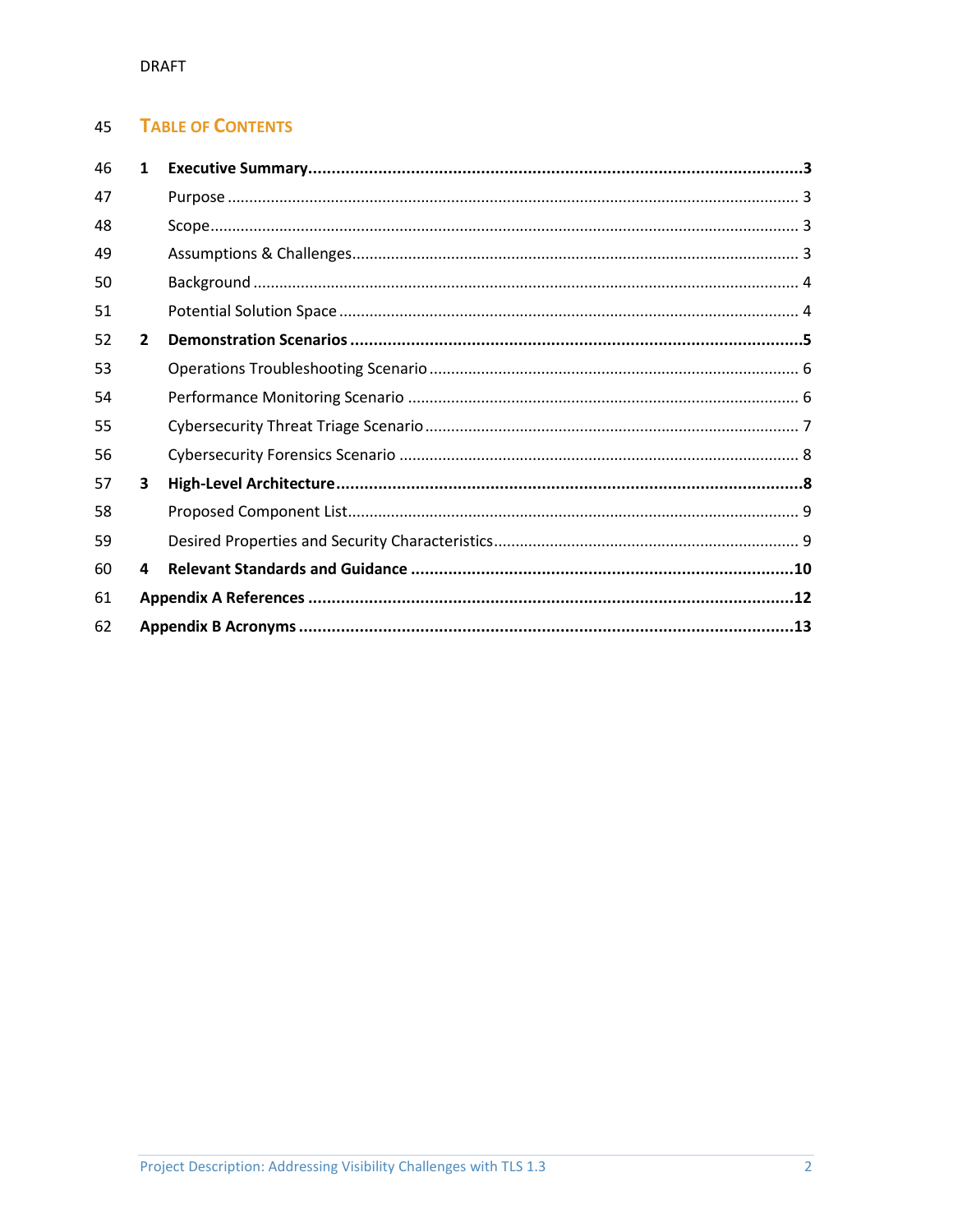#### **TABLE OF CONTENTS** 45

| 46 | $\mathbf{1}$ |  |  |  |
|----|--------------|--|--|--|
| 47 |              |  |  |  |
| 48 |              |  |  |  |
| 49 |              |  |  |  |
| 50 |              |  |  |  |
| 51 |              |  |  |  |
| 52 | $\mathbf{2}$ |  |  |  |
| 53 |              |  |  |  |
| 54 |              |  |  |  |
| 55 |              |  |  |  |
| 56 |              |  |  |  |
| 57 | 3            |  |  |  |
| 58 |              |  |  |  |
| 59 |              |  |  |  |
| 60 | 4            |  |  |  |
| 61 |              |  |  |  |
| 62 |              |  |  |  |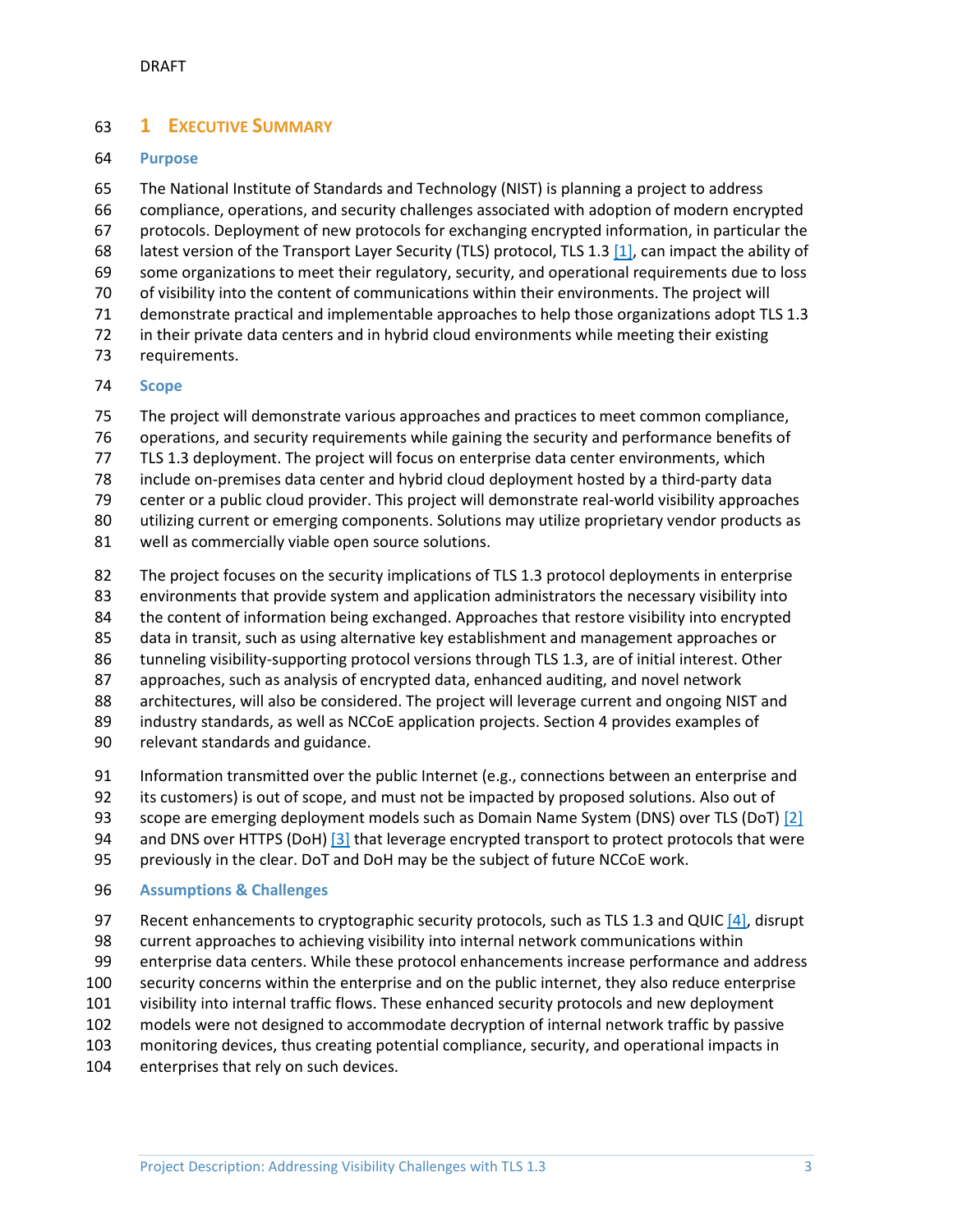# <span id="page-3-0"></span>**1 EXECUTIVE SUMMARY**

#### <span id="page-3-1"></span>**Purpose**

 The National Institute of Standards and Technology (NIST) is planning a project to address compliance, operations, and security challenges associated with adoption of modern encrypted protocols. Deployment of new protocols for exchanging encrypted information, in particular the latest version of the Transport Layer Security (TLS) protocol, TLS 1.3 [\[1\],](#page-12-1) can impact the ability of some organizations to meet their regulatory, security, and operational requirements due to loss of visibility into the content of communications within their environments. The project will demonstrate practical and implementable approaches to help those organizations adopt TLS 1.3 in their private data centers and in hybrid cloud environments while meeting their existing requirements.

# <span id="page-3-2"></span>**Scope**

The project will demonstrate various approaches and practices to meet common compliance,

operations, and security requirements while gaining the security and performance benefits of

TLS 1.3 deployment. The project will focus on enterprise data center environments, which

- include on-premises data center and hybrid cloud deployment hosted by a third-party data
- center or a public cloud provider. This project will demonstrate real-world visibility approaches

utilizing current or emerging components. Solutions may utilize proprietary vendor products as

- well as commercially viable open source solutions.
- The project focuses on the security implications of TLS 1.3 protocol deployments in enterprise environments that provide system and application administrators the necessary visibility into the content of information being exchanged. Approaches that restore visibility into encrypted data in transit, such as using alternative key establishment and management approaches or tunneling visibility-supporting protocol versions through TLS 1.3, are of initial interest. Other approaches, such as analysis of encrypted data, enhanced auditing, and novel network architectures, will also be considered. The project will leverage current and ongoing NIST and industry standards, as well as NCCoE application projects. Section 4 provides examples of
- relevant standards and guidance.
- Information transmitted over the public Internet (e.g., connections between an enterprise and

its customers) is out of scope, and must not be impacted by proposed solutions. Also out of

- 93 scope are emerging deployment models such as Domain Name System (DNS) over TLS (DoT[\) \[2\]](#page-12-2)
- 94 and DNS over HTTPS (DoH) [\[3\]](#page-12-3) that leverage encrypted transport to protect protocols that were
- previously in the clear. DoT and DoH may be the subject of future NCCoE work.

#### <span id="page-3-3"></span>**Assumptions & Challenges**

- 97 Recent enhancements to cryptographic security protocols, such as TLS 1.3 and QUIC [\[4\],](#page-12-4) disrupt
- current approaches to achieving visibility into internal network communications within
- enterprise data centers. While these protocol enhancements increase performance and address
- security concerns within the enterprise and on the public internet, they also reduce enterprise
- visibility into internal traffic flows. These enhanced security protocols and new deployment
- models were not designed to accommodate decryption of internal network traffic by passive
- monitoring devices, thus creating potential compliance, security, and operational impacts in
- enterprises that rely on such devices.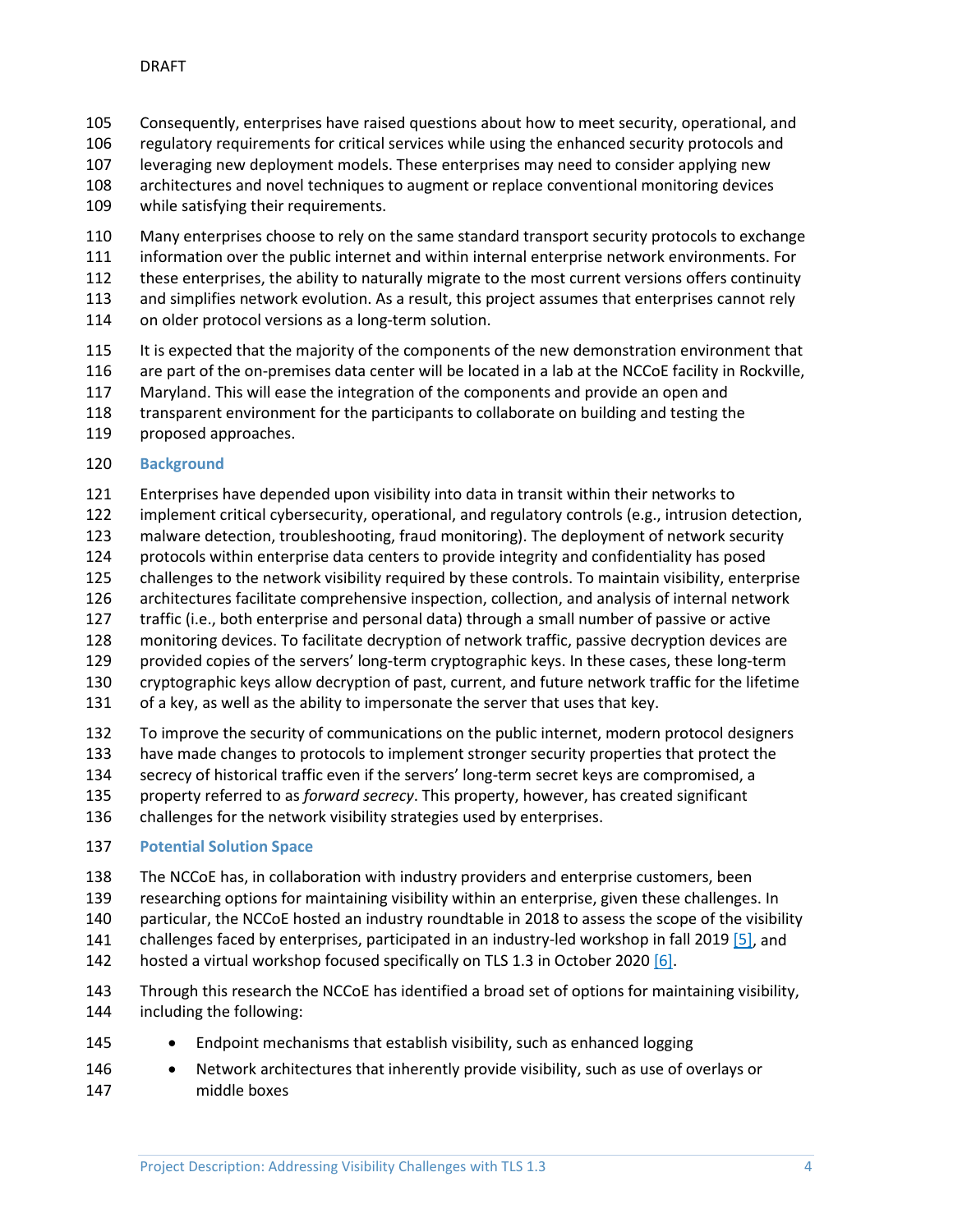- Consequently, enterprises have raised questions about how to meet security, operational, and
- 106 regulatory requirements for critical services while using the enhanced security protocols and
- leveraging new deployment models. These enterprises may need to consider applying new
- architectures and novel techniques to augment or replace conventional monitoring devices while satisfying their requirements.
- Many enterprises choose to rely on the same standard transport security protocols to exchange
- information over the public internet and within internal enterprise network environments. For
- these enterprises, the ability to naturally migrate to the most current versions offers continuity
- and simplifies network evolution. As a result, this project assumes that enterprises cannot rely
- on older protocol versions as a long-term solution.
- It is expected that the majority of the components of the new demonstration environment that
- are part of the on-premises data center will be located in a lab at the NCCoE facility in Rockville,
- Maryland. This will ease the integration of the components and provide an open and
- transparent environment for the participants to collaborate on building and testing the
- proposed approaches.
- <span id="page-4-0"></span>**Background**
- Enterprises have depended upon visibility into data in transit within their networks to
- implement critical cybersecurity, operational, and regulatory controls (e.g., intrusion detection,
- malware detection, troubleshooting, fraud monitoring). The deployment of network security
- protocols within enterprise data centers to provide integrity and confidentiality has posed
- challenges to the network visibility required by these controls. To maintain visibility, enterprise
- architectures facilitate comprehensive inspection, collection, and analysis of internal network
- traffic (i.e., both enterprise and personal data) through a small number of passive or active
- monitoring devices. To facilitate decryption of network traffic, passive decryption devices are
- provided copies of the servers' long-term cryptographic keys. In these cases, these long-term
- cryptographic keys allow decryption of past, current, and future network traffic for the lifetime
- of a key, as well as the ability to impersonate the server that uses that key.
- To improve the security of communications on the public internet, modern protocol designers have made changes to protocols to implement stronger security properties that protect the
- secrecy of historical traffic even if the servers' long-term secret keys are compromised, a
- property referred to as *forward secrecy*. This property, however, has created significant
- challenges for the network visibility strategies used by enterprises.
- <span id="page-4-1"></span>**Potential Solution Space**
- The NCCoE has, in collaboration with industry providers and enterprise customers, been
- researching options for maintaining visibility within an enterprise, given these challenges. In
- particular, the NCCoE hosted an industry roundtable in 2018 to assess the scope of the visibility
- challenges faced by enterprises, participated in an industry-led workshop in fall 2019 [\[5\],](#page-12-5) and
- hosted a virtual workshop focused specifically on TLS 1.3 in October 2020 [\[6\].](#page-12-6)
- Through this research the NCCoE has identified a broad set of options for maintaining visibility, including the following:
- 145 Endpoint mechanisms that establish visibility, such as enhanced logging
- 146 Network architectures that inherently provide visibility, such as use of overlays or middle boxes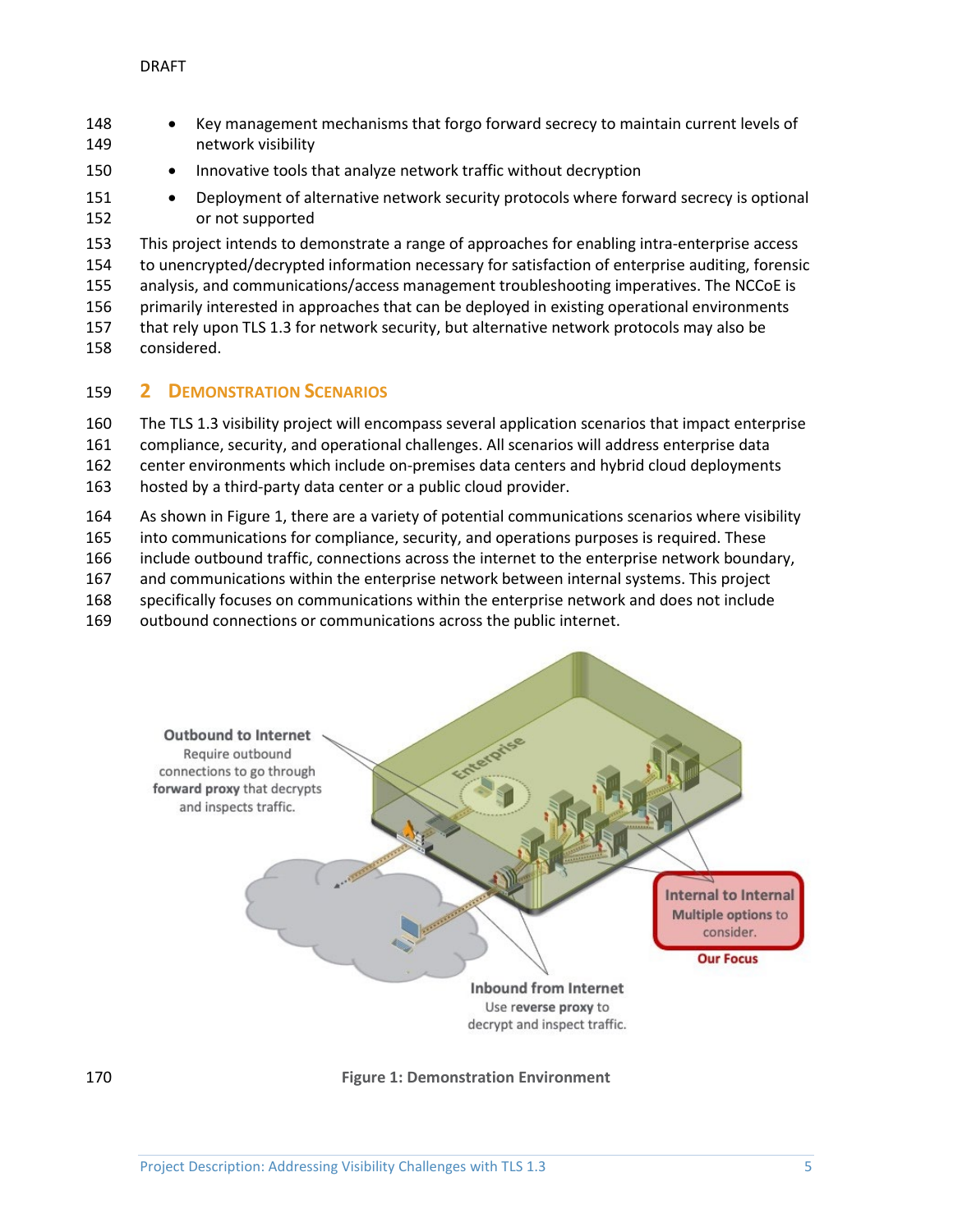- Key management mechanisms that forgo forward secrecy to maintain current levels of network visibility 150 • Innovative tools that analyze network traffic without decryption 151 • Deployment of alternative network security protocols where forward secrecy is optional or not supported This project intends to demonstrate a range of approaches for enabling intra-enterprise access to unencrypted/decrypted information necessary for satisfaction of enterprise auditing, forensic analysis, and communications/access management troubleshooting imperatives. The NCCoE is
- primarily interested in approaches that can be deployed in existing operational environments
- that rely upon TLS 1.3 for network security, but alternative network protocols may also be considered.

# <span id="page-5-0"></span>**2 DEMONSTRATION SCENARIOS**

- The TLS 1.3 visibility project will encompass several application scenarios that impact enterprise compliance, security, and operational challenges. All scenarios will address enterprise data center environments which include on-premises data centers and hybrid cloud deployments hosted by a third-party data center or a public cloud provider.
- As shown in [Figure 1,](#page-5-1) there are a variety of potential communications scenarios where visibility
- into communications for compliance, security, and operations purposes is required. These
- include outbound traffic, connections across the internet to the enterprise network boundary,
- and communications within the enterprise network between internal systems. This project
- specifically focuses on communications within the enterprise network and does not include
- outbound connections or communications across the public internet.



<span id="page-5-1"></span>**Figure 1: Demonstration Environment**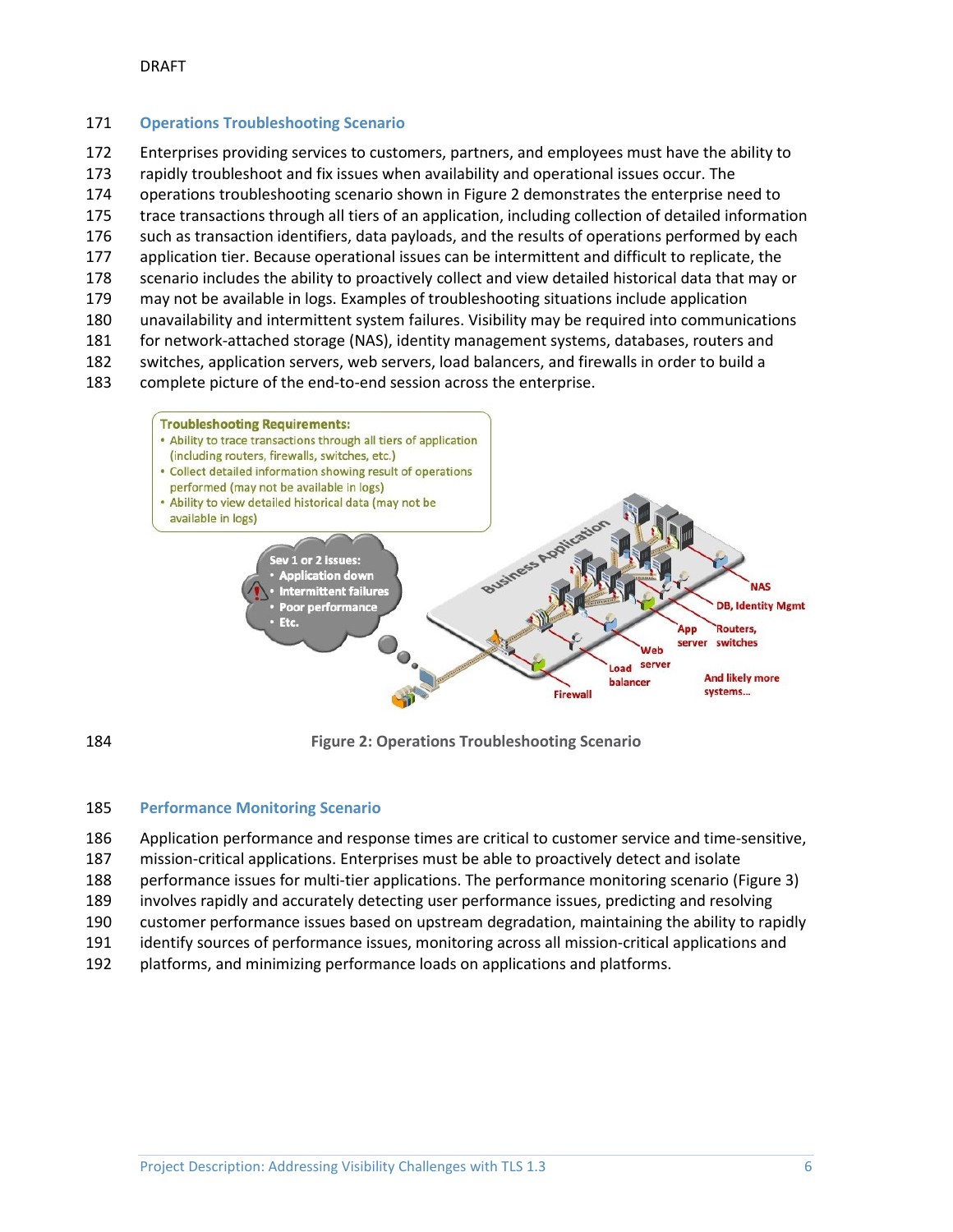#### <span id="page-6-0"></span>**Operations Troubleshooting Scenario**

 Enterprises providing services to customers, partners, and employees must have the ability to rapidly troubleshoot and fix issues when availability and operational issues occur. The operations troubleshooting scenario shown in [Figure 2](#page-6-2) demonstrates the enterprise need to trace transactions through all tiers of an application, including collection of detailed information such as transaction identifiers, data payloads, and the results of operations performed by each application tier. Because operational issues can be intermittent and difficult to replicate, the scenario includes the ability to proactively collect and view detailed historical data that may or may not be available in logs. Examples of troubleshooting situations include application unavailability and intermittent system failures. Visibility may be required into communications for network-attached storage (NAS), identity management systems, databases, routers and switches, application servers, web servers, load balancers, and firewalls in order to build a complete picture of the end-to-end session across the enterprise.



<span id="page-6-2"></span>

**Figure 2: Operations Troubleshooting Scenario**

#### <span id="page-6-1"></span>**Performance Monitoring Scenario**

- Application performance and response times are critical to customer service and time-sensitive,
- mission-critical applications. Enterprises must be able to proactively detect and isolate
- performance issues for multi-tier applications. The performance monitoring scenario [\(Figure 3\)](#page-7-1)
- involves rapidly and accurately detecting user performance issues, predicting and resolving
- customer performance issues based on upstream degradation, maintaining the ability to rapidly
- identify sources of performance issues, monitoring across all mission-critical applications and
- platforms, and minimizing performance loads on applications and platforms.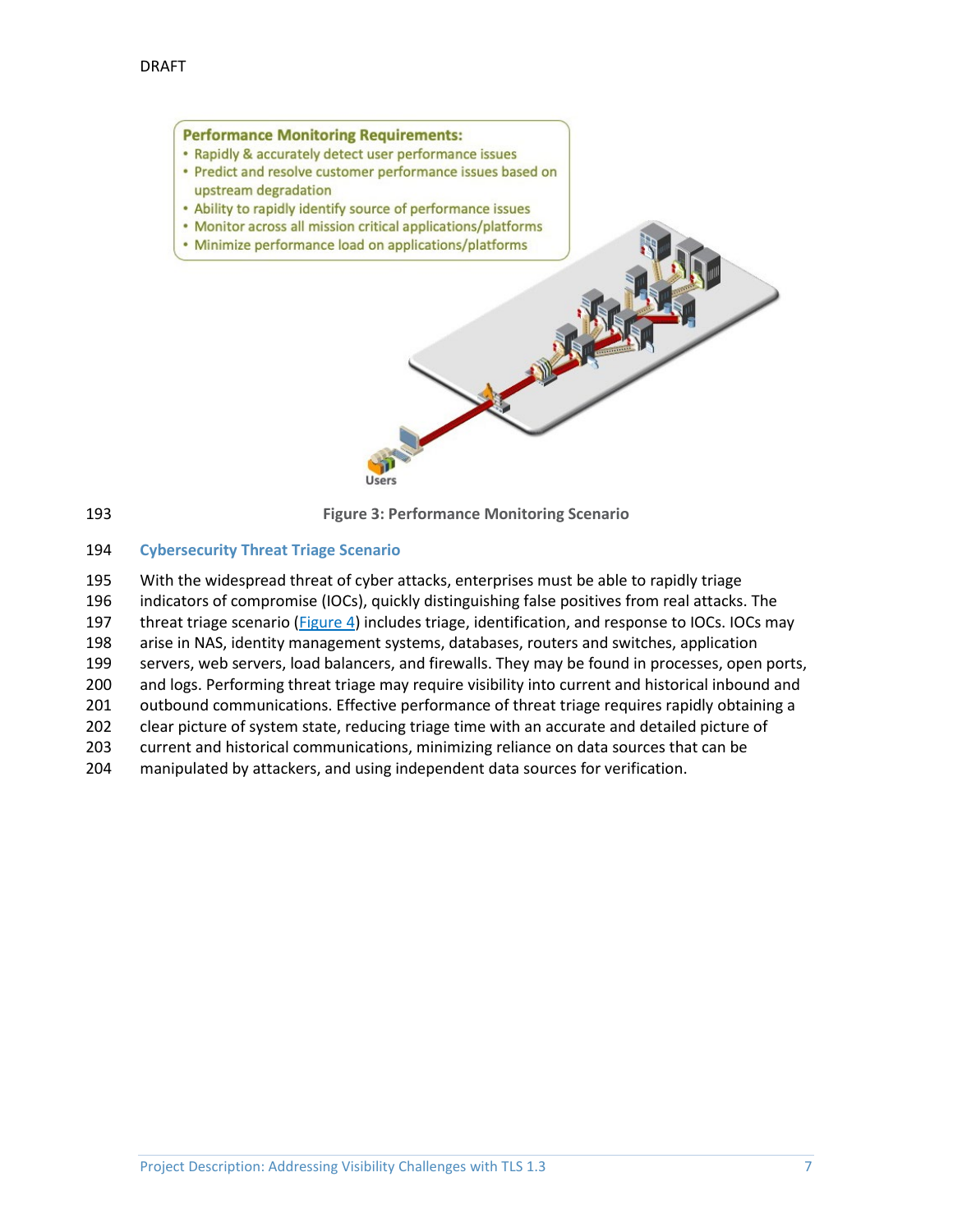#### **Performance Monitoring Requirements:**

- Rapidly & accurately detect user performance issues
- Predict and resolve customer performance issues based on upstream degradation
- . Ability to rapidly identify source of performance issues
- Monitor across all mission critical applications/platforms
- Minimize performance load on applications/platforms

User:

<span id="page-7-1"></span>

193 **Figure 3: Performance Monitoring Scenario**

#### <span id="page-7-0"></span>194 **Cybersecurity Threat Triage Scenario**

 With the widespread threat of cyber attacks, enterprises must be able to rapidly triage indicators of compromise (IOCs), quickly distinguishing false positives from real attacks. The 197 threat triage scenario [\(Figure 4\)](#page-8-2) includes triage, identification, and response to IOCs. IOCs may arise in NAS, identity management systems, databases, routers and switches, application servers, web servers, load balancers, and firewalls. They may be found in processes, open ports, and logs. Performing threat triage may require visibility into current and historical inbound and 201 outbound communications. Effective performance of threat triage requires rapidly obtaining a clear picture of system state, reducing triage time with an accurate and detailed picture of current and historical communications, minimizing reliance on data sources that can be manipulated by attackers, and using independent data sources for verification.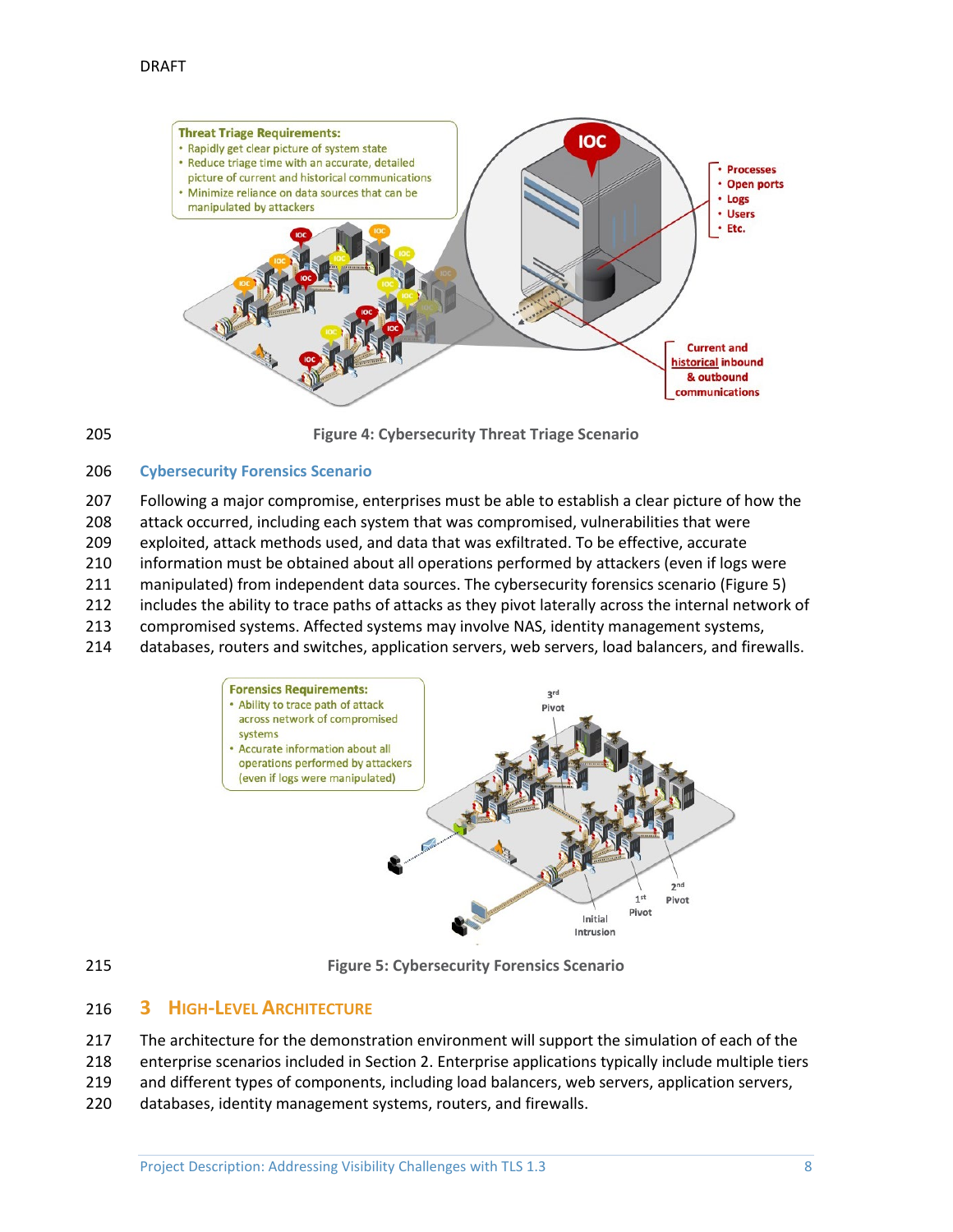



<span id="page-8-2"></span>**Figure 4: Cybersecurity Threat Triage Scenario**

#### <span id="page-8-0"></span>**Cybersecurity Forensics Scenario**

 Following a major compromise, enterprises must be able to establish a clear picture of how the attack occurred, including each system that was compromised, vulnerabilities that were exploited, attack methods used, and data that was exfiltrated. To be effective, accurate information must be obtained about all operations performed by attackers (even if logs were

- manipulated) from independent data sources. The cybersecurity forensics scenario [\(Figure 5\)](#page-8-3)
- includes the ability to trace paths of attacks as they pivot laterally across the internal network of
- compromised systems. Affected systems may involve NAS, identity management systems,
- databases, routers and switches, application servers, web servers, load balancers, and firewalls.





<span id="page-8-3"></span>**Figure 5: Cybersecurity Forensics Scenario**

## <span id="page-8-1"></span>**3 HIGH-LEVEL ARCHITECTURE**

- The architecture for the demonstration environment will support the simulation of each of the
- enterprise scenarios included in Section [2.](#page-5-0) Enterprise applications typically include multiple tiers
- and different types of components, including load balancers, web servers, application servers,
- databases, identity management systems, routers, and firewalls.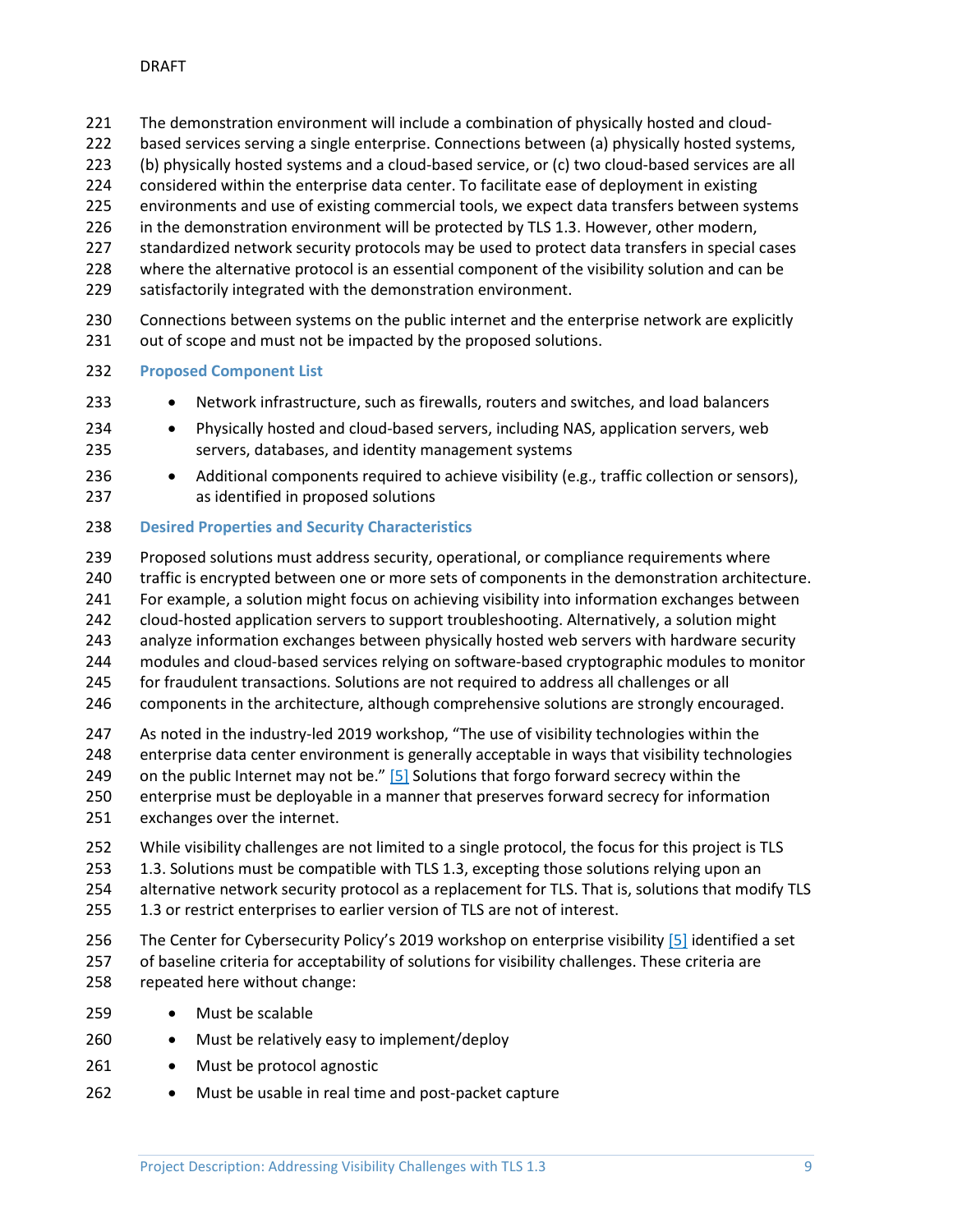- The demonstration environment will include a combination of physically hosted and cloud-
- 222 based services serving a single enterprise. Connections between (a) physically hosted systems,
- (b) physically hosted systems and a cloud-based service, or (c) two cloud-based services are all
- considered within the enterprise data center. To facilitate ease of deployment in existing
- environments and use of existing commercial tools, we expect data transfers between systems
- in the demonstration environment will be protected by TLS 1.3. However, other modern,
- standardized network security protocols may be used to protect data transfers in special cases
- where the alternative protocol is an essential component of the visibility solution and can be
- satisfactorily integrated with the demonstration environment.
- Connections between systems on the public internet and the enterprise network are explicitly 231 out of scope and must not be impacted by the proposed solutions.
- <span id="page-9-0"></span>**Proposed Component List**
- Network infrastructure, such as firewalls, routers and switches, and load balancers
- Physically hosted and cloud-based servers, including NAS, application servers, web servers, databases, and identity management systems
- 236 Additional components required to achieve visibility (e.g., traffic collection or sensors), as identified in proposed solutions

#### <span id="page-9-1"></span>**Desired Properties and Security Characteristics**

 Proposed solutions must address security, operational, or compliance requirements where traffic is encrypted between one or more sets of components in the demonstration architecture. For example, a solution might focus on achieving visibility into information exchanges between cloud-hosted application servers to support troubleshooting. Alternatively, a solution might analyze information exchanges between physically hosted web servers with hardware security modules and cloud-based services relying on software-based cryptographic modules to monitor for fraudulent transactions. Solutions are not required to address all challenges or all

- 246 components in the architecture, although comprehensive solutions are strongly encouraged.
- As noted in the industry-led 2019 workshop, "The use of visibility technologies within the enterprise data center environment is generally acceptable in ways that visibility technologies
- 249 on the public Internet may not be."  $[5]$  Solutions that forgo forward secrecy within the
- enterprise must be deployable in a manner that preserves forward secrecy for information exchanges over the internet.
- While visibility challenges are not limited to a single protocol, the focus for this project is TLS
- 253 1.3. Solutions must be compatible with TLS 1.3, excepting those solutions relying upon an
- alternative network security protocol as a replacement for TLS. That is, solutions that modify TLS
- 255 1.3 or restrict enterprises to earlier version of TLS are not of interest.
- 256 The Center for Cybersecurity Policy's 2019 workshop on enterprise visibility [\[5\]](#page-12-5) identified a set of baseline criteria for acceptability of solutions for visibility challenges. These criteria are repeated here without change:
- Must be scalable
- Must be relatively easy to implement/deploy
- Must be protocol agnostic
- Must be usable in real time and post-packet capture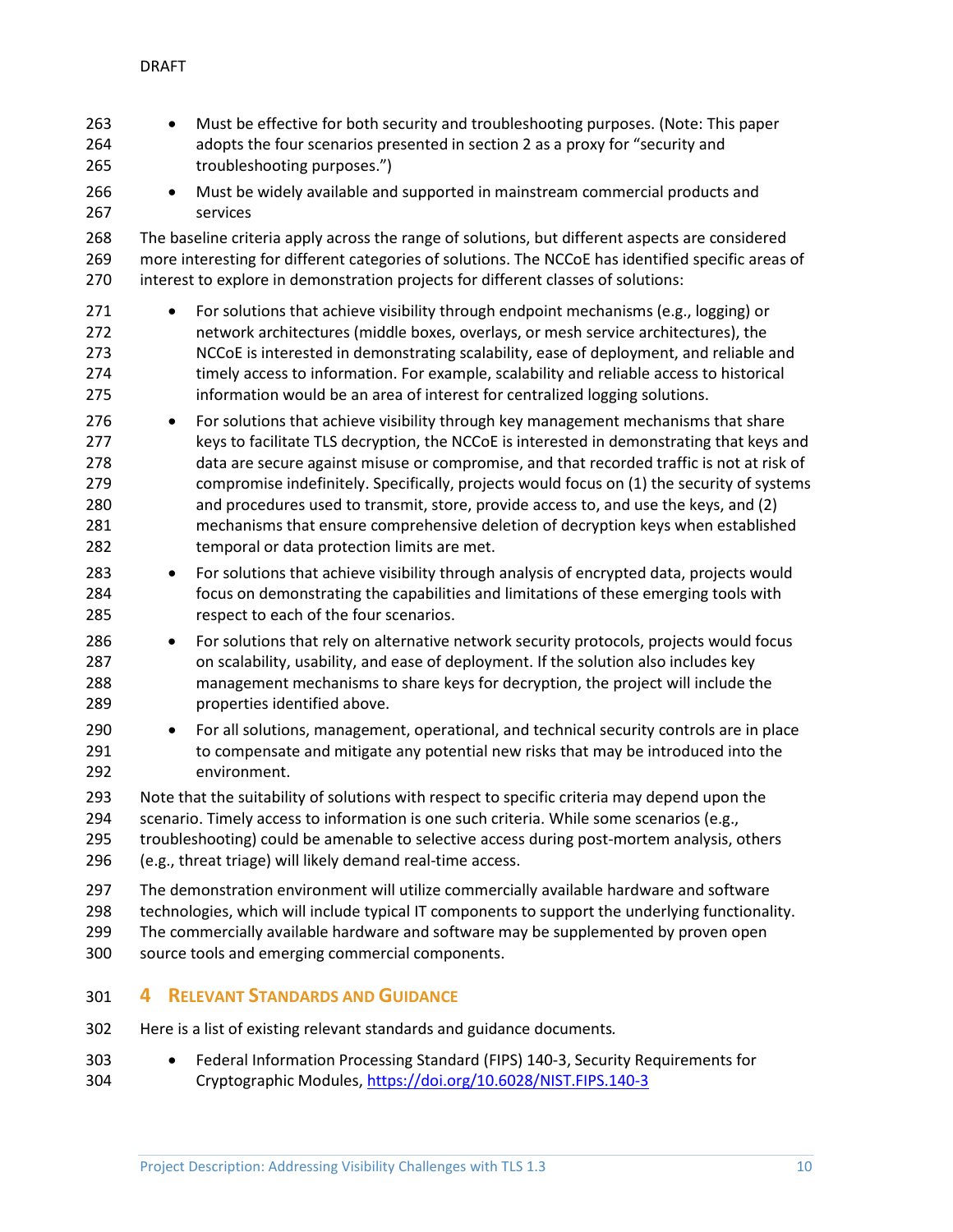• Must be effective for both security and troubleshooting purposes. (Note: This paper adopts the four scenarios presented in section 2 as a proxy for "security and troubleshooting purposes.") • Must be widely available and supported in mainstream commercial products and services The baseline criteria apply across the range of solutions, but different aspects are considered more interesting for different categories of solutions. The NCCoE has identified specific areas of interest to explore in demonstration projects for different classes of solutions: 271 • For solutions that achieve visibility through endpoint mechanisms (e.g., logging) or network architectures (middle boxes, overlays, or mesh service architectures), the NCCoE is interested in demonstrating scalability, ease of deployment, and reliable and timely access to information. For example, scalability and reliable access to historical information would be an area of interest for centralized logging solutions. • For solutions that achieve visibility through key management mechanisms that share 277 keys to facilitate TLS decryption, the NCCoE is interested in demonstrating that keys and data are secure against misuse or compromise, and that recorded traffic is not at risk of compromise indefinitely. Specifically, projects would focus on (1) the security of systems and procedures used to transmit, store, provide access to, and use the keys, and (2) mechanisms that ensure comprehensive deletion of decryption keys when established temporal or data protection limits are met. • For solutions that achieve visibility through analysis of encrypted data, projects would focus on demonstrating the capabilities and limitations of these emerging tools with respect to each of the four scenarios. • For solutions that rely on alternative network security protocols, projects would focus on scalability, usability, and ease of deployment. If the solution also includes key management mechanisms to share keys for decryption, the project will include the properties identified above. • For all solutions, management, operational, and technical security controls are in place 291 to compensate and mitigate any potential new risks that may be introduced into the environment. Note that the suitability of solutions with respect to specific criteria may depend upon the 294 scenario. Timely access to information is one such criteria. While some scenarios (e.g., troubleshooting) could be amenable to selective access during post-mortem analysis, others (e.g., threat triage) will likely demand real-time access.

 The demonstration environment will utilize commercially available hardware and software technologies, which will include typical IT components to support the underlying functionality. The commercially available hardware and software may be supplemented by proven open source tools and emerging commercial components.

## <span id="page-10-0"></span>**4 RELEVANT STANDARDS AND GUIDANCE**

- Here is a list of existing relevant standards and guidance documents*.*
- Federal Information Processing Standard (FIPS) 140-3, Security Requirements for Cryptographic Modules[, https://doi.org/10.6028/NIST.FIPS.140-3](https://doi.org/10.6028/NIST.FIPS.140-3)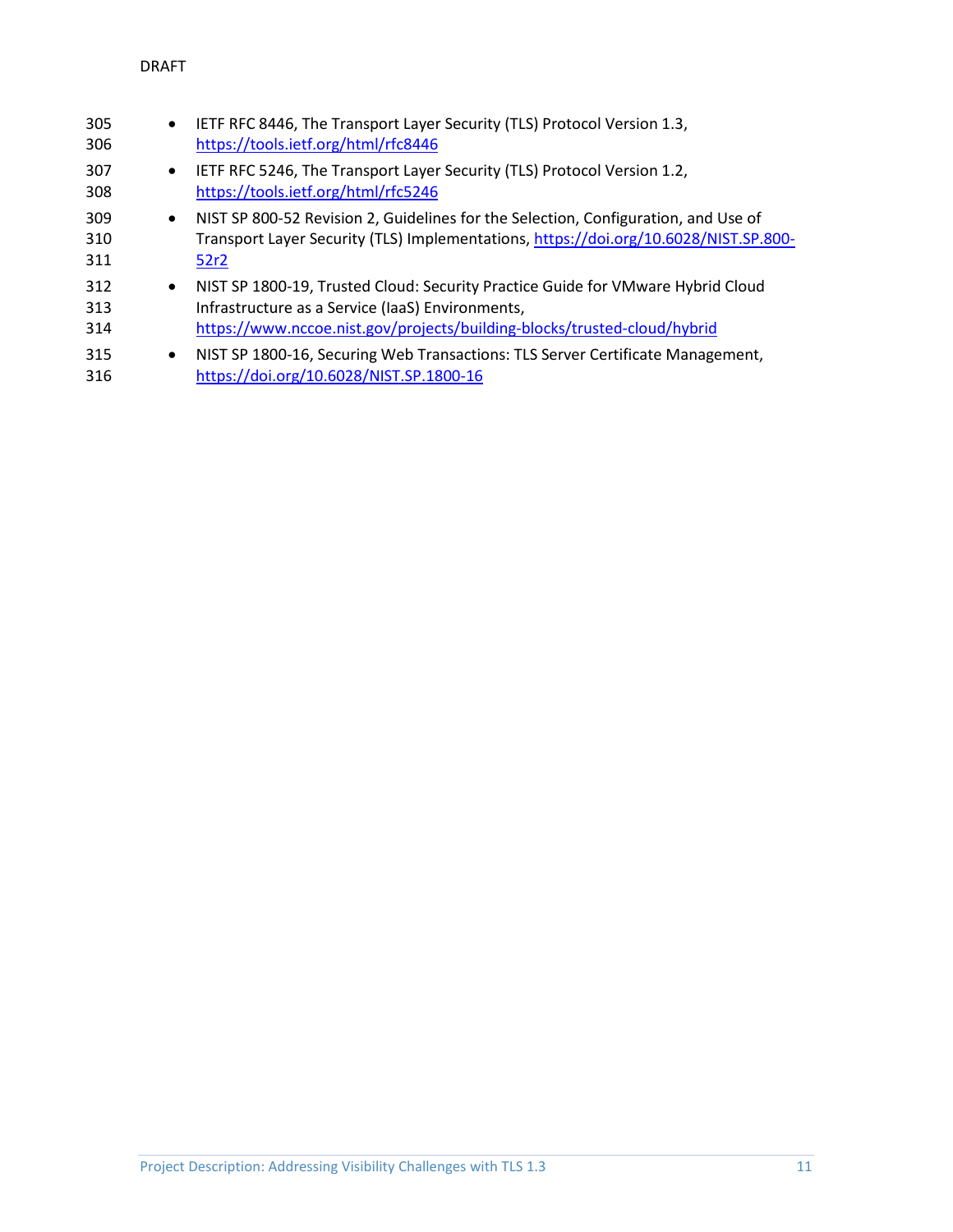| 305<br>306        | $\bullet$ | IETF RFC 8446, The Transport Layer Security (TLS) Protocol Version 1.3,<br>https://tools.ietf.org/html/rfc8446                                                                                                  |
|-------------------|-----------|-----------------------------------------------------------------------------------------------------------------------------------------------------------------------------------------------------------------|
| 307<br>308        | $\bullet$ | IETF RFC 5246, The Transport Layer Security (TLS) Protocol Version 1.2,<br>https://tools.ietf.org/html/rfc5246                                                                                                  |
| 309<br>310<br>311 |           | • NIST SP 800-52 Revision 2, Guidelines for the Selection, Configuration, and Use of<br>Transport Layer Security (TLS) Implementations, https://doi.org/10.6028/NIST.SP.800-<br>52r2                            |
| 312<br>313<br>314 | $\bullet$ | NIST SP 1800-19, Trusted Cloud: Security Practice Guide for VMware Hybrid Cloud<br>Infrastructure as a Service (IaaS) Environments,<br>https://www.nccoe.nist.gov/projects/building-blocks/trusted-cloud/hybrid |
| 315<br>316        | $\bullet$ | NIST SP 1800-16, Securing Web Transactions: TLS Server Certificate Management,<br>https://doi.org/10.6028/NIST.SP.1800-16                                                                                       |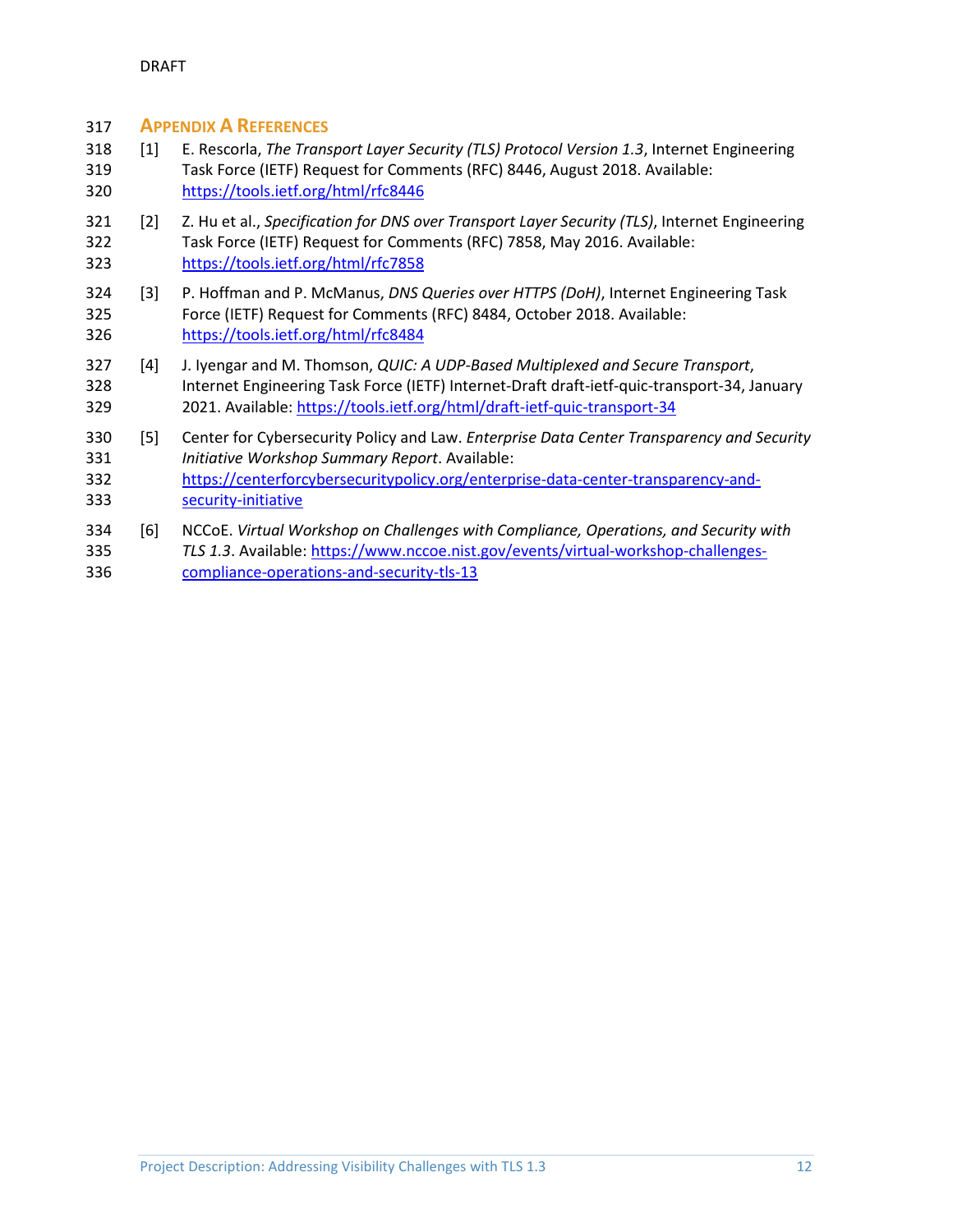#### <span id="page-12-0"></span>**APPENDIX A REFERENCES**

- <span id="page-12-1"></span> [1] E. Rescorla, *The Transport Layer Security (TLS) Protocol Version 1.3*, Internet Engineering Task Force (IETF) Request for Comments (RFC) 8446, August 2018. Available: <https://tools.ietf.org/html/rfc8446>
- <span id="page-12-2"></span> [2] Z. Hu et al., *Specification for DNS over Transport Layer Security (TLS)*, Internet Engineering Task Force (IETF) Request for Comments (RFC) 7858, May 2016. Available: <https://tools.ietf.org/html/rfc7858>
- <span id="page-12-3"></span> [3] P. Hoffman and P. McManus, *DNS Queries over HTTPS (DoH)*, Internet Engineering Task Force (IETF) Request for Comments (RFC) 8484, October 2018. Available: <https://tools.ietf.org/html/rfc8484>
- <span id="page-12-4"></span> [4] J. Iyengar and M. Thomson, *QUIC: A UDP-Based Multiplexed and Secure Transport*, Internet Engineering Task Force (IETF) Internet-Draft draft-ietf-quic-transport-34, January 2021. Available[: https://tools.ietf.org/html/draft-ietf-quic-transport-34](https://tools.ietf.org/html/draft-ietf-quic-transport-34)
- <span id="page-12-5"></span> [5] Center for Cybersecurity Policy and Law. *Enterprise Data Center Transparency and Security Initiative Workshop Summary Report*. Available:
- [https://centerforcybersecuritypolicy.org/enterprise-data-center-transparency-and-](https://centerforcybersecuritypolicy.org/enterprise-data-center-transparency-and-security-initiative)[security-initiative](https://centerforcybersecuritypolicy.org/enterprise-data-center-transparency-and-security-initiative)
- <span id="page-12-6"></span> [6] NCCoE. *Virtual Workshop on Challenges with Compliance, Operations, and Security with TLS 1.3*. Available: [https://www.nccoe.nist.gov/events/virtual-workshop-challenges-](https://www.nccoe.nist.gov/events/virtual-workshop-challenges-compliance-operations-and-security-tls-13)
- [compliance-operations-and-security-tls-13](https://www.nccoe.nist.gov/events/virtual-workshop-challenges-compliance-operations-and-security-tls-13)